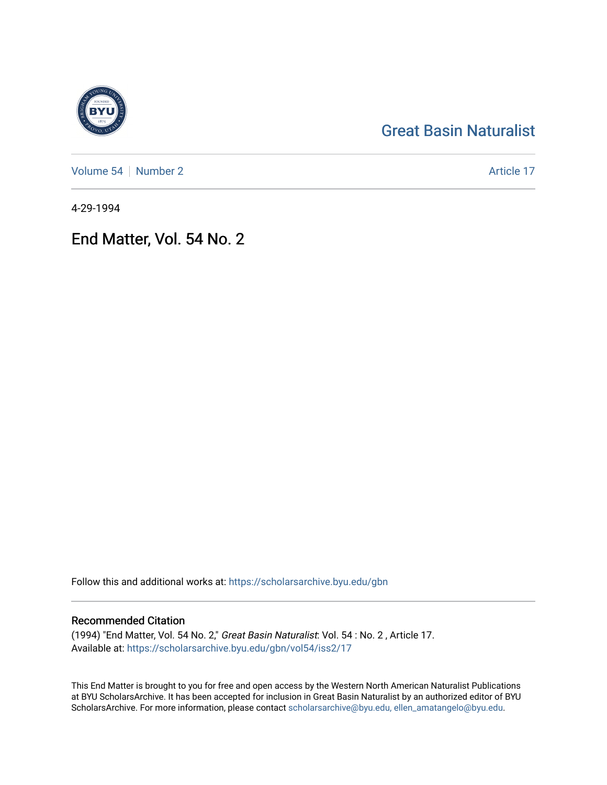# [Great Basin Naturalist](https://scholarsarchive.byu.edu/gbn)

[Volume 54](https://scholarsarchive.byu.edu/gbn/vol54) [Number 2](https://scholarsarchive.byu.edu/gbn/vol54/iss2) Article 17

4-29-1994

## End Matter, Vol. 54 No. 2

Follow this and additional works at: [https://scholarsarchive.byu.edu/gbn](https://scholarsarchive.byu.edu/gbn?utm_source=scholarsarchive.byu.edu%2Fgbn%2Fvol54%2Fiss2%2F17&utm_medium=PDF&utm_campaign=PDFCoverPages) 

### Recommended Citation

(1994) "End Matter, Vol. 54 No. 2," Great Basin Naturalist: Vol. 54 : No. 2 , Article 17. Available at: [https://scholarsarchive.byu.edu/gbn/vol54/iss2/17](https://scholarsarchive.byu.edu/gbn/vol54/iss2/17?utm_source=scholarsarchive.byu.edu%2Fgbn%2Fvol54%2Fiss2%2F17&utm_medium=PDF&utm_campaign=PDFCoverPages) 

This End Matter is brought to you for free and open access by the Western North American Naturalist Publications at BYU ScholarsArchive. It has been accepted for inclusion in Great Basin Naturalist by an authorized editor of BYU ScholarsArchive. For more information, please contact [scholarsarchive@byu.edu, ellen\\_amatangelo@byu.edu.](mailto:scholarsarchive@byu.edu,%20ellen_amatangelo@byu.edu)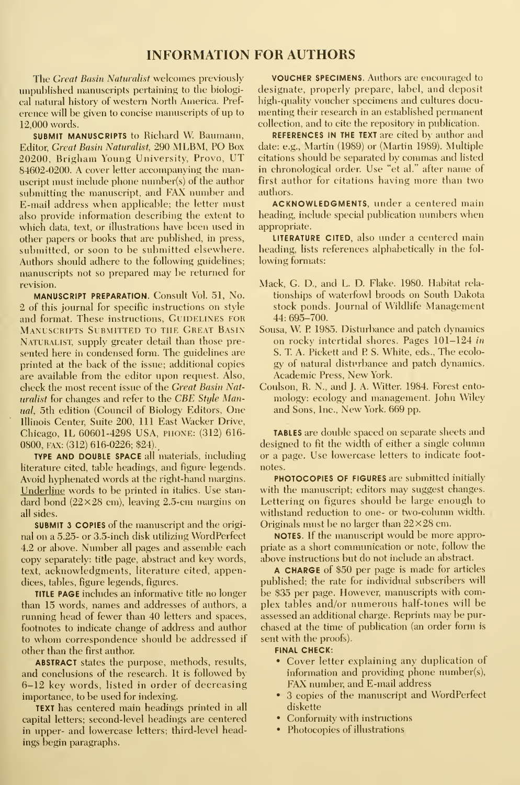#### INFORMATION FOR AUTHORS

The Great Basin Naturalist welcomes previously unpublished manuscripts pertaining to the biological natural history of western North America. Pref erence will be given to concise manuscripts of up to 12,000 words.

SUBMIT MANUSCRIPTS to Richard W. Baumann, Editor, Great Basin Naturalist, 290 MLBM, PO Box 20200, Brigham Young University, Provo, UT 84602-0200. A cover letter accompanying the manuscript must include phone number(s) of the author submitting the manuscript, and FAX number and E-mail address when applicable; the letter must also provide information describing the extent to which data, text, or illustrations have been used in other papers or books that are published, in press, submitted, or soon to be submitted elsewhere. Authors should adhere to the following guidelines; manuscripts not so prepared may be returned for revision.

MANUSCRIPT PREPARATION. Consult Vol. 51, No. 2 of this journal for specific instructions on style and format. These instructions, GUIDELINES FOR Manuscripts Submitted to the Great Basin NATURALIST, supply greater detail than those presented here in condensed form. The guidelines are printed at the back of the issue; additional copies are available from the editor upon request. Also, check the most recent issue of the Great Basin Naturalist for changes and refer to the CBE Style Manual, 5th edition (Council of Biology Editors, One Illinois Center, Suite 200, 111 East Wacker Drive, Chicago, IL 60601-4298 USA, piione: (312) 616- 0800, FAX: (312) 616-0226; \$24).

TYPE AND DOUBLE SPACE all materials, including literature cited, table headings, and figure legends. Avoid hyphenated words at the right-hand margins. Underline words to be printed in italics. Use stan dard bond  $(22\times28$  cm), leaving 2.5-cm margins on all sides.

SUBMIT 3 COPIES of the manuscript and the origi nal on a 5.25- or 3.5-inch disk utilizing WordPerfect 4.2 or above. Number all pages and assemble each copy separately: title page, abstract and key words, text, acknowledgments, literature cited, appendices, tables, figure legends, figures.

TITLE PAGE includes an informative title no longer than 15 words, names and addresses of authors, a running head of fewer than 40 letters and spaces, footnotes to indicate change of address and author to whom correspondence should be addressed if other than the first author

ABSTRACT states the purpose, methods, results, and conclusions of the research. It is followed by 6-12 key words, listed in order of decreasing importance, to be used for indexing.

TEXT has centered main headings printed in all capital letters; second-level headings are centered in upper- and lowercase letters; third-level headings begin paragraphs.

VOUCHER SPECIMENS. Authors are encouraged to designate, properly prepare, label, and deposit high-quality voucher specimens and cultures docu menting their research in an established permanent collection, and to cite the repository in publication.

REFERENCES IN THE TEXT are cited by author and date: e.g., Martin (1989) or (Martin 1989). Multiple citations should be separated by commas and listed in chronological order. Use "et al." after name of first author for citations having more than two authors.

ACKNOWLEDGMENTS, under a centered main heading, include special publication numbers when appropriate.

LITERATURE CITED, also under a centered main heading, lists references alphabetically in the fol lowing formats:

- Mack, G. D., and L. D. Flake. 1980. Habitat rela tionships of waterfowl broods on South Dakota stock ponds. Journal of Wildlife Management 44: 695-700.
- Sousa, W. P 1985. Disturbance and patch dynamics on rocky intertidal shores. Pages 101-124 in S. T. A. Pickett and P. S. White, eds., The ecology of natural disturbance and patch dynamics. Academic Press, New York.
- Coulson, R. N., and J. A. Witter. 1984. Forest ento mology: ecology and management. John Wiley and Sons, Inc., New York. 669 pp.

TABLES are double spaced on separate sheets and designed to fit the width of either a single column or a page. Use lowercase letters to indicate foot notes.

PHOTOCOPIES OF FIGURES are submitted initially with the manuscript; editors may suggest changes. Lettering on figures should be large enough to withstand reduction to one- or two-column width. Originals must be no larger than  $22\times28$  cm.

NOTES. If the manuscript would be more appropriate as a short communication or note, follow the above instructions but do not include an abstract.

A CHARGE of \$50 per page is made for articles published; the rate for individual subscribers will be \$35 per page. However, manuscripts with complex tables and/or numerous half-tones will be assessed an additional charge. Reprints may be pur chased at the time of publication (an order form is sent with the proofs).

#### FINAL CHECK:

- Cover letter explaining any duplication of information and providing phone number(s), FAX number, and E-mail address
- 3 copies of the manuscript and WordPerfect diskette
- Conformity with instructions
- Photocopies of illustrations